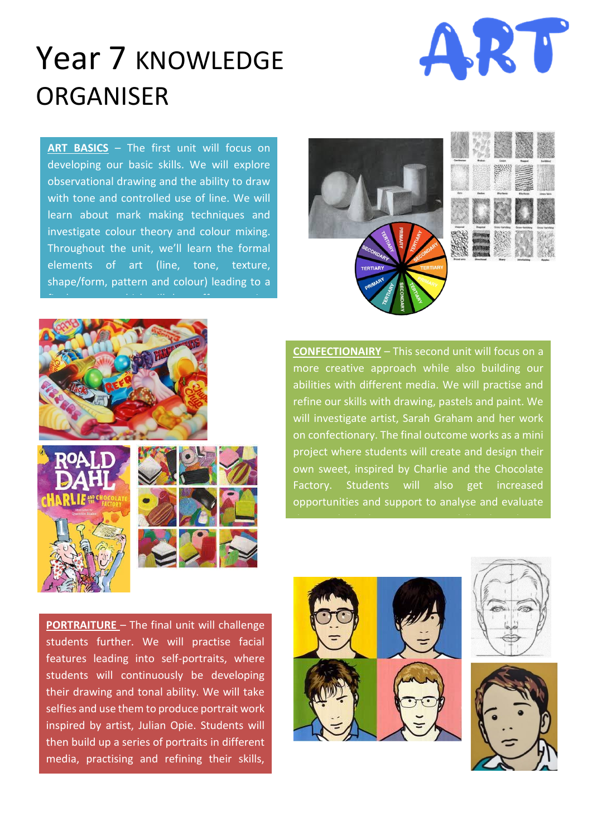## Year 7 KNOWLEDGE ORGANISER



**ART BASICS** – The first unit will focus on developing our basic skills. We will explore observational drawing and the ability to draw with tone and controlled use of line. We will learn about mark making techniques and investigate colour theory and colour mixing. Throughout the unit, we'll learn the formal elements of art (line, tone, texture, shape/form, pattern and colour) leading to a





**CONFECTIONAIRY** – This second unit will focus on a more creative approach while also building our abilities with different media. We will practise and refine our skills with drawing, pastels and paint. We will investigate artist, Sarah Graham and her work on confectionary. The final outcome works as a mini project where students will create and design their own sweet, inspired by Charlie and the Chocolate Factory. Students will also get increased opportunities and support to analyse and evaluate

their work which is an important skill in this subject.

**PORTRAITURE** – The final unit will challenge students further. We will practise facial features leading into self-portraits, where students will continuously be developing their drawing and tonal ability. We will take selfies and use them to produce portrait work inspired by artist, Julian Opie. Students will then build up a series of portraits in different media, practising and refining their skills,

culminating in a larger A3 final outcome.



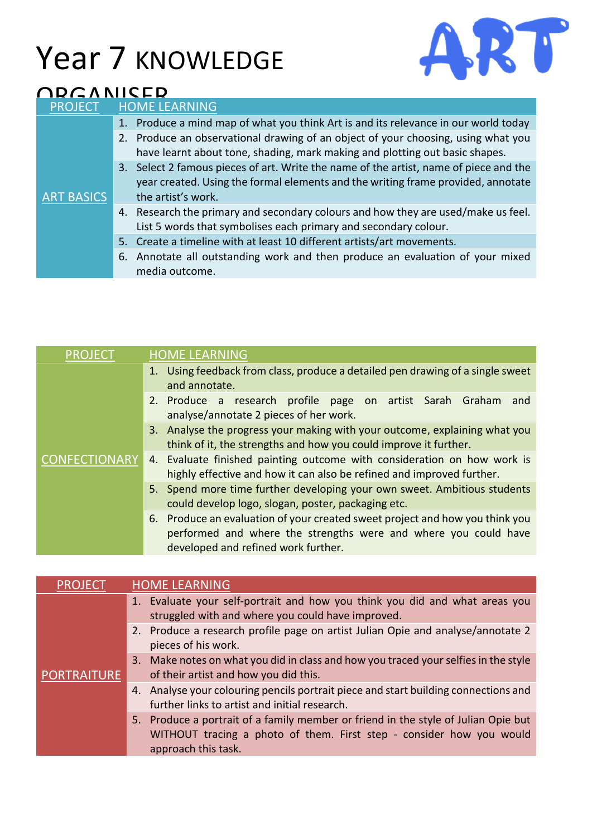## Year 7 KNOWLEDGE



## ODCANICED

| <b>PROJECT</b>    | <b>HOME LEARNING</b>                                                                                                                                                                            |
|-------------------|-------------------------------------------------------------------------------------------------------------------------------------------------------------------------------------------------|
| <b>ART BASICS</b> | 1. Produce a mind map of what you think Art is and its relevance in our world today                                                                                                             |
|                   | 2. Produce an observational drawing of an object of your choosing, using what you<br>have learnt about tone, shading, mark making and plotting out basic shapes.                                |
|                   | 3. Select 2 famous pieces of art. Write the name of the artist, name of piece and the<br>year created. Using the formal elements and the writing frame provided, annotate<br>the artist's work. |
|                   | 4. Research the primary and secondary colours and how they are used/make us feel.<br>List 5 words that symbolises each primary and secondary colour.                                            |
|                   | 5. Create a timeline with at least 10 different artists/art movements.                                                                                                                          |
|                   | 6. Annotate all outstanding work and then produce an evaluation of your mixed<br>media outcome.                                                                                                 |

| <b>PROJECT</b>       | <b>HOME LEARNING</b>                                                                                                                                                                   |
|----------------------|----------------------------------------------------------------------------------------------------------------------------------------------------------------------------------------|
|                      | 1. Using feedback from class, produce a detailed pen drawing of a single sweet<br>and annotate.                                                                                        |
|                      | 2. Produce a research profile page on artist Sarah Graham<br>and<br>analyse/annotate 2 pieces of her work.                                                                             |
|                      | 3. Analyse the progress your making with your outcome, explaining what you<br>think of it, the strengths and how you could improve it further.                                         |
| <b>CONFECTIONARY</b> | 4. Evaluate finished painting outcome with consideration on how work is<br>highly effective and how it can also be refined and improved further.                                       |
|                      | 5. Spend more time further developing your own sweet. Ambitious students<br>could develop logo, slogan, poster, packaging etc.                                                         |
|                      | 6. Produce an evaluation of your created sweet project and how you think you<br>performed and where the strengths were and where you could have<br>developed and refined work further. |

| <b>PROJECT</b>     | <b>HOME LEARNING</b>                                                                                                                                                              |
|--------------------|-----------------------------------------------------------------------------------------------------------------------------------------------------------------------------------|
|                    | Evaluate your self-portrait and how you think you did and what areas you<br>1.<br>struggled with and where you could have improved.                                               |
|                    | 2. Produce a research profile page on artist Julian Opie and analyse/annotate 2<br>pieces of his work.                                                                            |
|                    | 3. Make notes on what you did in class and how you traced your selfies in the style                                                                                               |
| <b>PORTRAITURE</b> | of their artist and how you did this.                                                                                                                                             |
|                    | 4. Analyse your colouring pencils portrait piece and start building connections and<br>further links to artist and initial research.                                              |
|                    | 5. Produce a portrait of a family member or friend in the style of Julian Opie but<br>WITHOUT tracing a photo of them. First step - consider how you would<br>approach this task. |